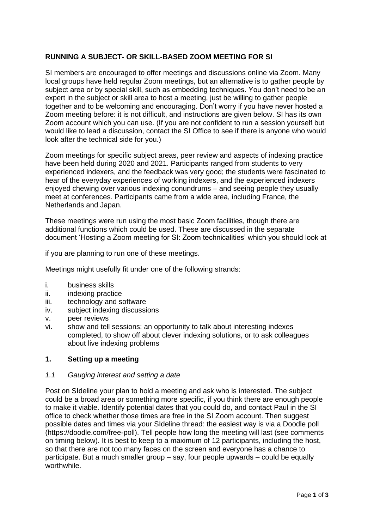# **RUNNING A SUBJECT- OR SKILL-BASED ZOOM MEETING FOR SI**

SI members are encouraged to offer meetings and discussions online via Zoom. Many local groups have held regular Zoom meetings, but an alternative is to gather people by subject area or by special skill, such as embedding techniques. You don't need to be an expert in the subject or skill area to host a meeting, just be willing to gather people together and to be welcoming and encouraging. Don't worry if you have never hosted a Zoom meeting before: it is not difficult, and instructions are given below. SI has its own Zoom account which you can use. (If you are not confident to run a session yourself but would like to lead a discussion, contact the SI Office to see if there is anyone who would look after the technical side for you.)

Zoom meetings for specific subject areas, peer review and aspects of indexing practice have been held during 2020 and 2021. Participants ranged from students to very experienced indexers, and the feedback was very good; the students were fascinated to hear of the everyday experiences of working indexers, and the experienced indexers enjoyed chewing over various indexing conundrums – and seeing people they usually meet at conferences. Participants came from a wide area, including France, the Netherlands and Japan.

These meetings were run using the most basic Zoom facilities, though there are additional functions which could be used. These are discussed in the separate document 'Hosting a Zoom meeting for SI: Zoom technicalities' which you should look at

if you are planning to run one of these meetings.

Meetings might usefully fit under one of the following strands:

- i. business skills
- ii. indexing practice
- iii. technology and software
- iv. subject indexing discussions
- v. peer reviews
- vi. show and tell sessions: an opportunity to talk about interesting indexes completed, to show off about clever indexing solutions, or to ask colleagues about live indexing problems

## **1. Setting up a meeting**

## *1.1 Gauging interest and setting a date*

Post on SIdeline your plan to hold a meeting and ask who is interested. The subject could be a broad area or something more specific, if you think there are enough people to make it viable. Identify potential dates that you could do, and contact Paul in the SI office to check whether those times are free in the SI Zoom account. Then suggest possible dates and times via your SIdeline thread: the easiest way is via a Doodle poll (https://doodle.com/free-poll). Tell people how long the meeting will last (see comments on timing below). It is best to keep to a maximum of 12 participants, including the host, so that there are not too many faces on the screen and everyone has a chance to participate. But a much smaller group – say, four people upwards – could be equally worthwhile.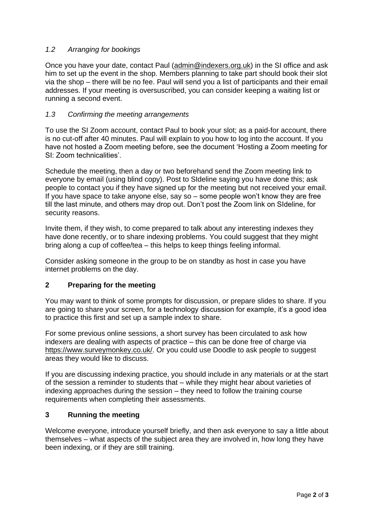# *1.2 Arranging for bookings*

Once you have your date, contact Paul [\(admin@indexers.org.uk\)](mailto:admin@indexers.org.uk) in the SI office and ask him to set up the event in the shop. Members planning to take part should book their slot via the shop – there will be no fee. Paul will send you a list of participants and their email addresses. If your meeting is oversuscribed, you can consider keeping a waiting list or running a second event.

## *1.3 Confirming the meeting arrangements*

To use the SI Zoom account, contact Paul to book your slot; as a paid-for account, there is no cut-off after 40 minutes. Paul will explain to you how to log into the account. If you have not hosted a Zoom meeting before, see the document 'Hosting a Zoom meeting for SI: Zoom technicalities'.

Schedule the meeting, then a day or two beforehand send the Zoom meeting link to everyone by email (using blind copy). Post to SIdeline saying you have done this; ask people to contact you if they have signed up for the meeting but not received your email. If you have space to take anyone else, say so – some people won't know they are free till the last minute, and others may drop out. Don't post the Zoom link on SIdeline, for security reasons.

Invite them, if they wish, to come prepared to talk about any interesting indexes they have done recently, or to share indexing problems. You could suggest that they might bring along a cup of coffee/tea – this helps to keep things feeling informal.

Consider asking someone in the group to be on standby as host in case you have internet problems on the day.

# **2 Preparing for the meeting**

You may want to think of some prompts for discussion, or prepare slides to share. If you are going to share your screen, for a technology discussion for example, it's a good idea to practice this first and set up a sample index to share.

For some previous online sessions, a short survey has been circulated to ask how indexers are dealing with aspects of practice – this can be done free of charge via [https://www.surveymonkey.co.uk/.](https://www.surveymonkey.co.uk/) Or you could use Doodle to ask people to suggest areas they would like to discuss.

If you are discussing indexing practice, you should include in any materials or at the start of the session a reminder to students that – while they might hear about varieties of indexing approaches during the session – they need to follow the training course requirements when completing their assessments.

## **3 Running the meeting**

Welcome everyone, introduce yourself briefly, and then ask everyone to say a little about themselves – what aspects of the subject area they are involved in, how long they have been indexing, or if they are still training.